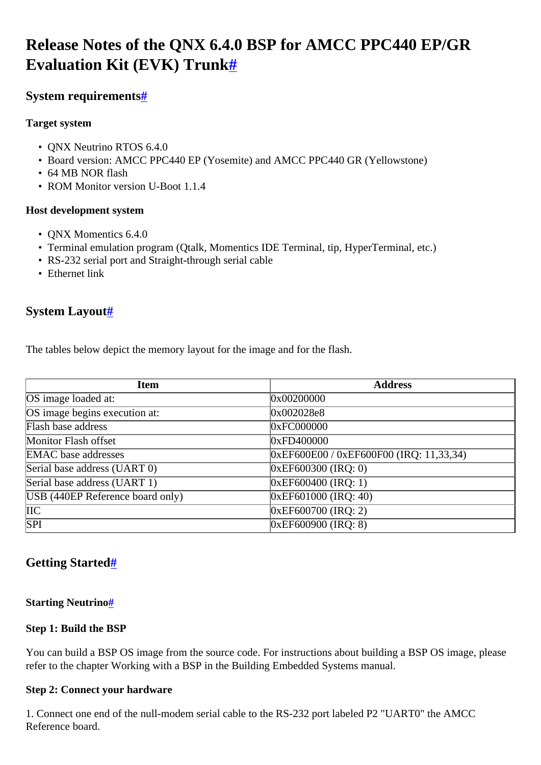# <span id="page-0-0"></span>**Release Notes of the QNX 6.4.0 BSP for AMCC PPC440 EP/GR Evaluation Kit (EVK) Trunk[#](#page-0-0)**

# <span id="page-0-1"></span>**System requirement[s#](#page-0-1)**

# **Target system**

- ONX Neutrino RTOS 6.4.0
- Board version: AMCC PPC440 EP (Yosemite) and AMCC PPC440 GR (Yellowstone)
- 64 MB NOR flash
- ROM Monitor version U-Boot 1.1.4

# **Host development system**

- ONX Momentics 6.4.0
- Terminal emulation program (Qtalk, Momentics IDE Terminal, tip, HyperTerminal, etc.)
- RS-232 serial port and Straight-through serial cable
- Ethernet link

# <span id="page-0-2"></span>**System Layout[#](#page-0-2)**

The tables below depict the memory layout for the image and for the flash.

| <b>Item</b>                      | <b>Address</b>                            |
|----------------------------------|-------------------------------------------|
| OS image loaded at:              | 0x00200000                                |
| OS image begins execution at:    | 0x002028e8                                |
| Flash base address               | 0xFC000000                                |
| Monitor Flash offset             | 0xFD400000                                |
| <b>EMAC</b> base addresses       | $0xEF600E00 / 0xEF600F00 (IRQ: 11,33,34)$ |
| Serial base address (UART 0)     | $0xEF600300$ (IRQ: 0)                     |
| Serial base address (UART 1)     | $0xEF600400$ (IRQ: 1)                     |
| USB (440EP Reference board only) | $0xEF601000$ (IRQ: 40)                    |
| $\overline{\text{IIC}}$          | 0xEF600700 (IRQ: 2)                       |
| SPI                              | $0xEF600900$ (IRQ: 8)                     |

# <span id="page-0-3"></span>**Getting Started[#](#page-0-3)**

### <span id="page-0-4"></span>**Starting Neutrin[o#](#page-0-4)**

### **Step 1: Build the BSP**

You can build a BSP OS image from the source code. For instructions about building a BSP OS image, please refer to the chapter Working with a BSP in the Building Embedded Systems manual.

### **Step 2: Connect your hardware**

1. Connect one end of the null-modem serial cable to the RS-232 port labeled P2 "UART0" the AMCC Reference board.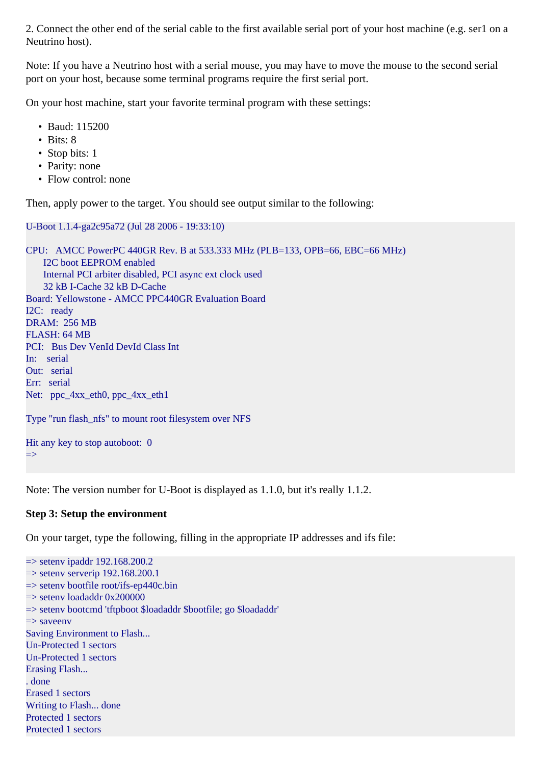2. Connect the other end of the serial cable to the first available serial port of your host machine (e.g. ser1 on a Neutrino host).

Note: If you have a Neutrino host with a serial mouse, you may have to move the mouse to the second serial port on your host, because some terminal programs require the first serial port.

On your host machine, start your favorite terminal program with these settings:

- Baud: 115200
- Bits: 8
- Stop bits: 1
- Parity: none
- Flow control: none

Then, apply power to the target. You should see output similar to the following:

```
U-Boot 1.1.4-ga2c95a72 (Jul 28 2006 - 19:33:10)
CPU: AMCC PowerPC 440GR Rev. B at 533.333 MHz (PLB=133, OPB=66, EBC=66 MHz)
    I2C boot EEPROM enabled
    Internal PCI arbiter disabled, PCI async ext clock used
    32 kB I-Cache 32 kB D-Cache
Board: Yellowstone - AMCC PPC440GR Evaluation Board
I2C: ready
DRAM: 256 MB
FLASH: 64 MB
PCI: Bus Dev VenId DevId Class Int
In: serial
Out: serial
Err: serial
Net: ppc_4xx_eth0, ppc_4xx_eth1
Type "run flash_nfs" to mount root filesystem over NFS
Hit any key to stop autoboot: 0
```
Note: The version number for U-Boot is displayed as 1.1.0, but it's really 1.1.2.

#### **Step 3: Setup the environment**

=>

On your target, type the following, filling in the appropriate IP addresses and ifs file:

```
\Rightarrow seteny ipaddr 192.168.200.2
\Rightarrow setenv serverip 192.168.200.1
\Rightarrow setenv bootfile root/ifs-ep440c.bin
\Rightarrow seteny loadaddr 0x200000
=> setenv bootcmd 'tftpboot $loadaddr $bootfile; go $loadaddr'
\Rightarrow saveeny
Saving Environment to Flash...
Un-Protected 1 sectors
Un-Protected 1 sectors
Erasing Flash...
. done
Erased 1 sectors
Writing to Flash... done
Protected 1 sectors
Protected 1 sectors
```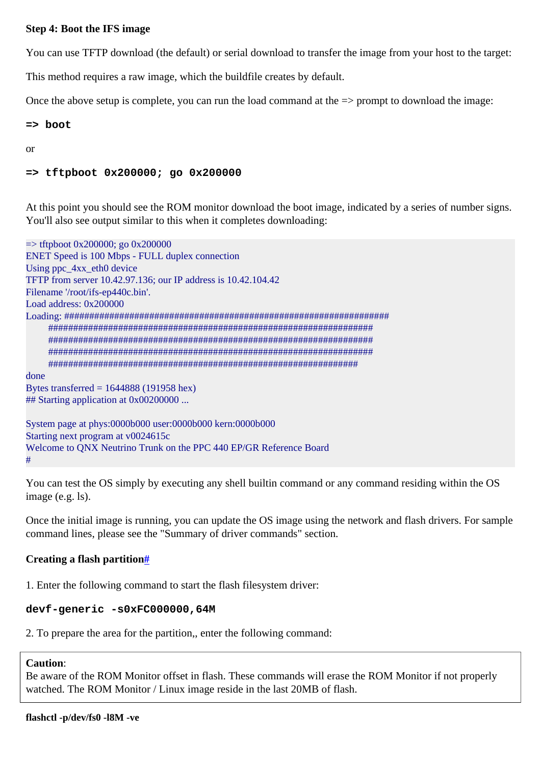#### **Step 4: Boot the IFS image**

You can use TFTP download (the default) or serial download to transfer the image from your host to the target:

This method requires a raw image, which the buildfile creates by default.

Once the above setup is complete, you can run the load command at the  $\Rightarrow$  prompt to download the image:

#### $\Rightarrow$  boot

 $\alpha$ r

#### => tftpboot 0x200000; go 0x200000

At this point you should see the ROM monitor download the boot image, indicated by a series of number signs. You'll also see output similar to this when it completes downloading:

```
\Rightarrow tftpboot 0x200000; go 0x200000
ENET Speed is 100 Mbps - FULL duplex connection
Using ppc 4xx eth0 device
TFTP from server 10.42.97.136; our IP address is 10.42.104.42
Filename '/root/ifs-ep440c.bin'.
Load address: 0x200000
done
Bytes transferred = 1644888(191958 \text{ hex})## Starting application at 0x00200000 ...
System page at phys:0000b000 user:0000b000 kern:0000b000
Starting next program at v0024615c
Welcome to QNX Neutrino Trunk on the PPC 440 EP/GR Reference Board
```
You can test the OS simply by executing any shell builtin command or any command residing within the OS image  $(e.g. 1s)$ .

Once the initial image is running, you can update the OS image using the network and flash drivers. For sample command lines, please see the "Summary of driver commands" section.

#### <span id="page-2-0"></span>Creating a flash partition#

1. Enter the following command to start the flash filesystem driver:

#### devf-generic -s0xFC000000,64M

2. To prepare the area for the partition, enter the following command:

#### **Caution:**

 $#$ 

Be aware of the ROM Monitor offset in flash. These commands will erase the ROM Monitor if not properly watched. The ROM Monitor / Linux image reside in the last 20MB of flash.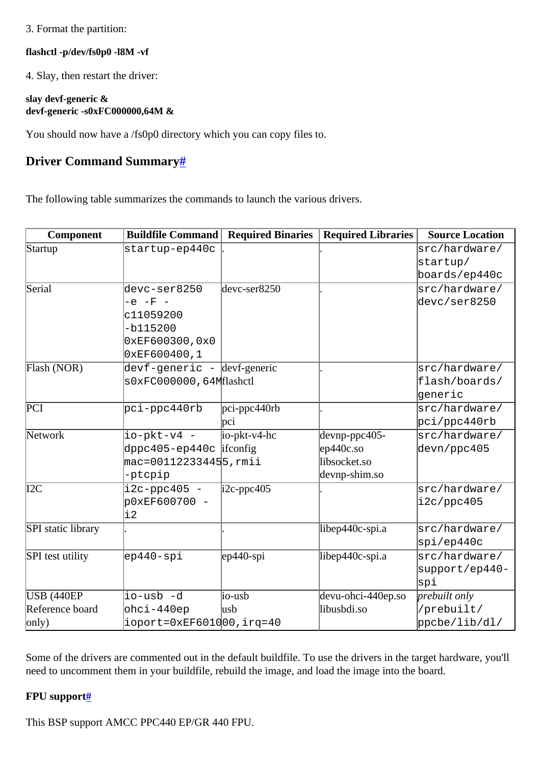#### 3. Format the partition:

#### **flashctl -p/dev/fs0p0 -l8M -vf**

4. Slay, then restart the driver:

#### **slay devf-generic & devf-generic -s0xFC000000,64M &**

You should now have a /fs0p0 directory which you can copy files to.

# <span id="page-3-0"></span>**Driver Command Summary[#](#page-3-0)**

The following table summarizes the commands to launch the various drivers.

| Component                 | <b>Buildfile Command</b>           | <b>Required Binaries</b>      | <b>Required Libraries</b> | <b>Source Location</b> |
|---------------------------|------------------------------------|-------------------------------|---------------------------|------------------------|
| Startup                   | startup-ep440c                     |                               |                           | src/hardware/          |
|                           |                                    |                               |                           | startup/               |
|                           |                                    |                               |                           | boards/ep440c          |
| Serial                    | devc-ser8250                       | $devc-ser8250$                |                           | src/hardware/          |
|                           | $-e$ $-F$ $-$                      |                               |                           | devc/ser8250           |
|                           | c11059200                          |                               |                           |                        |
|                           | $-b115200$                         |                               |                           |                        |
|                           | 0xEF600300,0x0                     |                               |                           |                        |
|                           | 0xEF600400,1                       |                               |                           |                        |
| Flash (NOR)               | devf-generic - devf-generic        |                               |                           | src/hardware/          |
|                           | s0xFC000000,64Mflashctl            |                               |                           | flash/boards/          |
|                           |                                    |                               |                           | generic                |
| $\overline{PCI}$          | pci-ppc440rb                       | $pci$ -pp $c\overline{440rb}$ |                           | src/hardware/          |
|                           |                                    | pci                           |                           | pci/ppc440rb           |
| Network                   | io-pkt-v4 -                        | $io-pkt-v4-hc$                | devnp-ppc405-             | src/hardware/          |
|                           | $dppc405-ep440c$ ifconfig          |                               | $ep440c$ .so              | devn/ppc405            |
|                           | mac=001122334455,rmii              |                               | libsocket.so              |                        |
|                           | -ptcpip                            |                               | devnp-shim.so             |                        |
| I2C                       | $i2c$ -ppc $405$ -                 | $\text{i2c-ppc}405$           |                           | src/hardware/          |
|                           | p0xEF600700 -                      |                               |                           | i2c/ppc405             |
|                           | $\overline{12}$                    |                               |                           |                        |
| <b>SPI</b> static library |                                    |                               | libep440c-spi.a           | src/hardware/          |
|                           |                                    |                               |                           | spi/ep440c             |
| <b>SPI</b> test utility   | ep440-spi                          | $ep440$ -spi                  | libep440c-spi.a           | src/hardware/          |
|                           |                                    |                               |                           | support/ep440-         |
|                           |                                    |                               |                           | spi                    |
| <b>USB (440EP)</b>        | io-usb -d                          | io-usb                        | devu-ohci-440ep.so        | prebuilt only          |
| Reference board           | ohci-440ep                         | lusb                          | libusbdi.so               | /prebuilt/             |
| $\vert$ only $)$          | $\vert$ ioport=0xEF6010 00, irq=40 |                               |                           | ppcbe/lib/dl/          |

Some of the drivers are commented out in the default buildfile. To use the drivers in the target hardware, you'll need to uncomment them in your buildfile, rebuild the image, and load the image into the board.

### <span id="page-3-1"></span>**FPU support[#](#page-3-1)**

This BSP support AMCC PPC440 EP/GR 440 FPU.